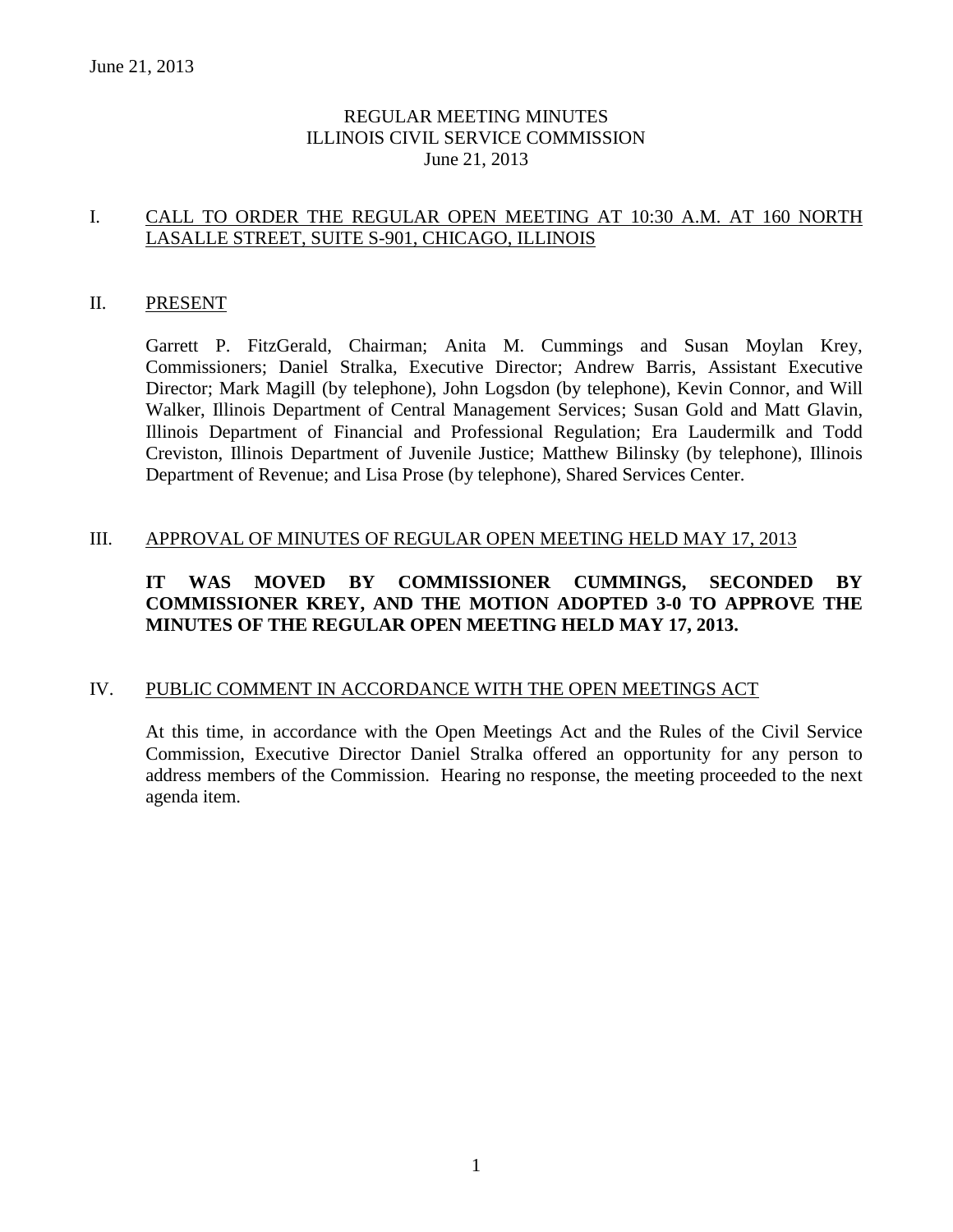### REGULAR MEETING MINUTES ILLINOIS CIVIL SERVICE COMMISSION June 21, 2013

### I. CALL TO ORDER THE REGULAR OPEN MEETING AT 10:30 A.M. AT 160 NORTH LASALLE STREET, SUITE S-901, CHICAGO, ILLINOIS

#### II. PRESENT

Garrett P. FitzGerald, Chairman; Anita M. Cummings and Susan Moylan Krey, Commissioners; Daniel Stralka, Executive Director; Andrew Barris, Assistant Executive Director; Mark Magill (by telephone), John Logsdon (by telephone), Kevin Connor, and Will Walker, Illinois Department of Central Management Services; Susan Gold and Matt Glavin, Illinois Department of Financial and Professional Regulation; Era Laudermilk and Todd Creviston, Illinois Department of Juvenile Justice; Matthew Bilinsky (by telephone), Illinois Department of Revenue; and Lisa Prose (by telephone), Shared Services Center.

### III. APPROVAL OF MINUTES OF REGULAR OPEN MEETING HELD MAY 17, 2013

### **IT WAS MOVED BY COMMISSIONER CUMMINGS, SECONDED BY COMMISSIONER KREY, AND THE MOTION ADOPTED 3-0 TO APPROVE THE MINUTES OF THE REGULAR OPEN MEETING HELD MAY 17, 2013.**

### IV. PUBLIC COMMENT IN ACCORDANCE WITH THE OPEN MEETINGS ACT

At this time, in accordance with the Open Meetings Act and the Rules of the Civil Service Commission, Executive Director Daniel Stralka offered an opportunity for any person to address members of the Commission. Hearing no response, the meeting proceeded to the next agenda item.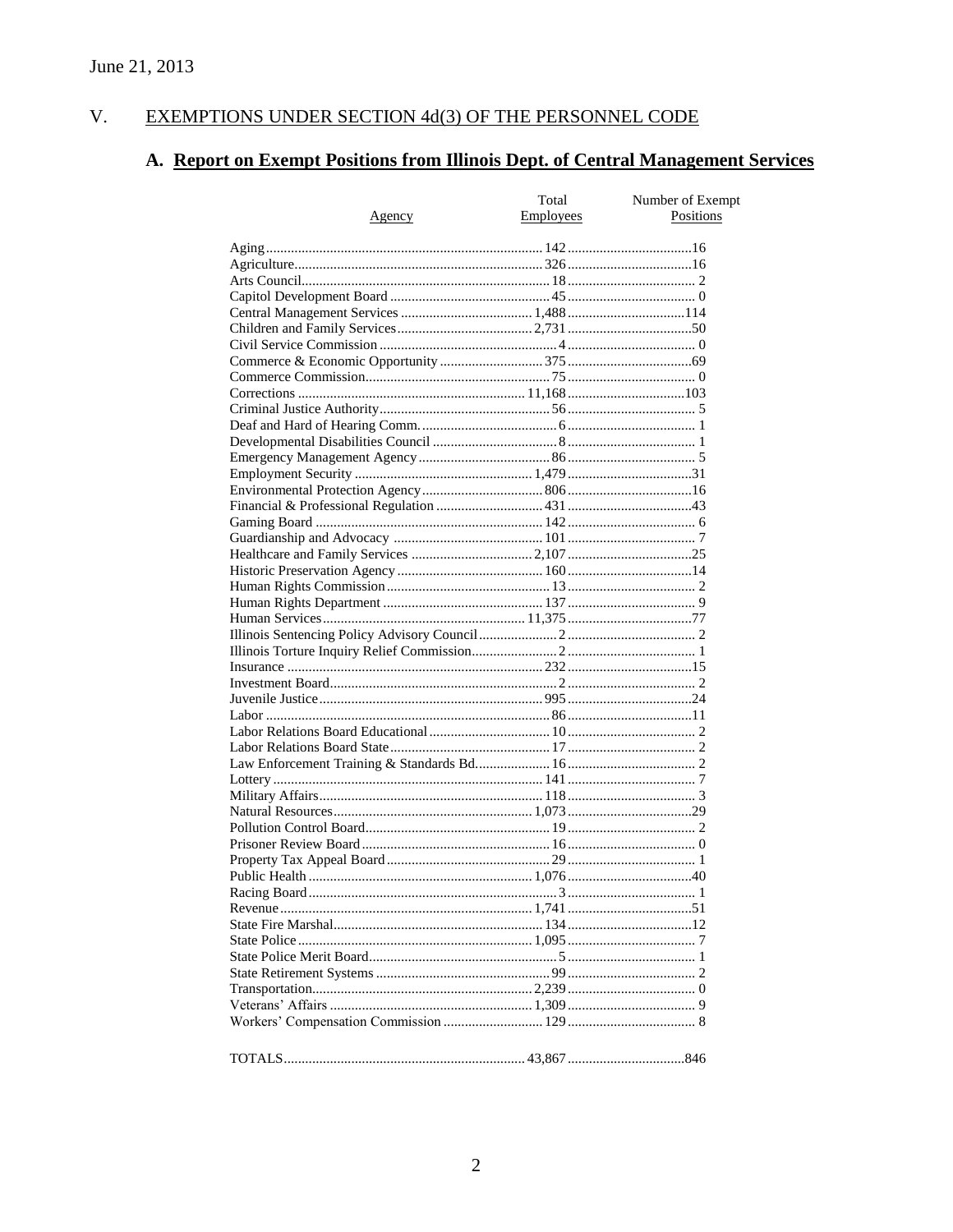#### $V<sub>1</sub>$ EXEMPTIONS UNDER SECTION 4d(3) OF THE PERSONNEL CODE

# A. Report on Exempt Positions from Illinois Dept. of Central Management Services

| Total<br>Number of Exempt |                  |           |
|---------------------------|------------------|-----------|
| <u>Agency</u>             | <b>Employees</b> | Positions |
|                           |                  |           |
|                           |                  |           |
|                           |                  |           |
|                           |                  |           |
|                           |                  |           |
|                           |                  |           |
|                           |                  |           |
|                           |                  |           |
|                           |                  |           |
|                           |                  |           |
|                           |                  |           |
|                           |                  |           |
|                           |                  |           |
|                           |                  |           |
|                           |                  |           |
|                           |                  |           |
|                           |                  |           |
|                           |                  |           |
|                           |                  |           |
|                           |                  |           |
|                           |                  |           |
|                           |                  |           |
|                           |                  |           |
|                           |                  |           |
|                           |                  |           |
|                           |                  |           |
|                           |                  |           |
|                           |                  |           |
|                           |                  |           |
|                           |                  |           |
|                           |                  |           |
|                           |                  |           |
|                           |                  |           |
|                           |                  |           |
|                           |                  |           |
|                           |                  |           |
|                           |                  |           |
|                           |                  |           |
|                           |                  |           |
|                           |                  |           |
|                           |                  |           |
|                           |                  |           |
|                           |                  |           |
|                           |                  |           |
|                           |                  |           |
|                           |                  |           |
|                           |                  |           |
|                           |                  |           |
|                           |                  |           |
|                           |                  |           |
|                           |                  |           |
|                           |                  |           |
|                           |                  |           |
|                           |                  |           |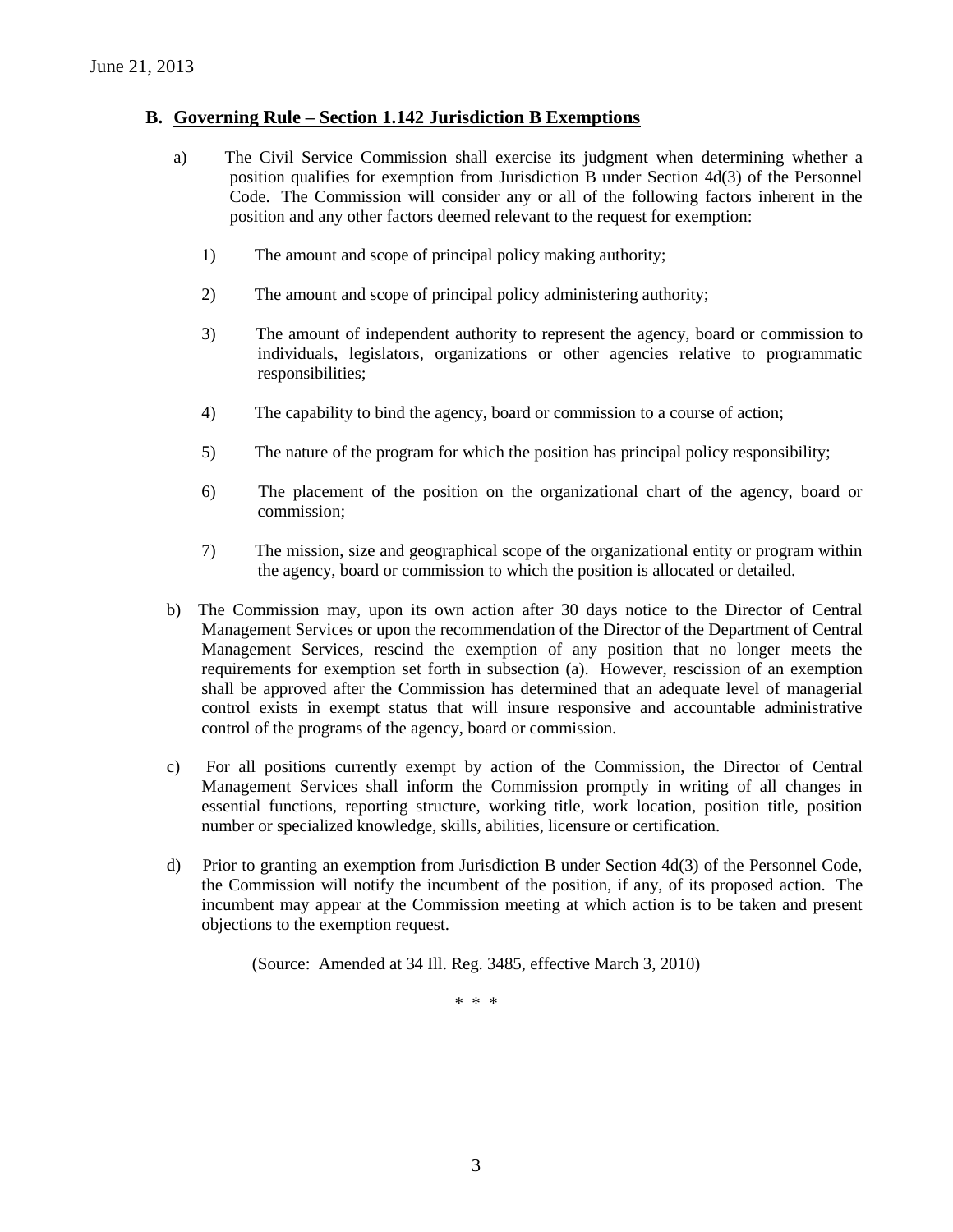#### **B. Governing Rule – Section 1.142 Jurisdiction B Exemptions**

- a) The Civil Service Commission shall exercise its judgment when determining whether a position qualifies for exemption from Jurisdiction B under Section 4d(3) of the Personnel Code. The Commission will consider any or all of the following factors inherent in the position and any other factors deemed relevant to the request for exemption:
	- 1) The amount and scope of principal policy making authority;
	- 2) The amount and scope of principal policy administering authority;
	- 3) The amount of independent authority to represent the agency, board or commission to individuals, legislators, organizations or other agencies relative to programmatic responsibilities;
	- 4) The capability to bind the agency, board or commission to a course of action;
	- 5) The nature of the program for which the position has principal policy responsibility;
	- 6) The placement of the position on the organizational chart of the agency, board or commission;
	- 7) The mission, size and geographical scope of the organizational entity or program within the agency, board or commission to which the position is allocated or detailed.
- b) The Commission may, upon its own action after 30 days notice to the Director of Central Management Services or upon the recommendation of the Director of the Department of Central Management Services, rescind the exemption of any position that no longer meets the requirements for exemption set forth in subsection (a). However, rescission of an exemption shall be approved after the Commission has determined that an adequate level of managerial control exists in exempt status that will insure responsive and accountable administrative control of the programs of the agency, board or commission.
- c) For all positions currently exempt by action of the Commission, the Director of Central Management Services shall inform the Commission promptly in writing of all changes in essential functions, reporting structure, working title, work location, position title, position number or specialized knowledge, skills, abilities, licensure or certification.
- d) Prior to granting an exemption from Jurisdiction B under Section 4d(3) of the Personnel Code, the Commission will notify the incumbent of the position, if any, of its proposed action. The incumbent may appear at the Commission meeting at which action is to be taken and present objections to the exemption request.

(Source: Amended at 34 Ill. Reg. 3485, effective March 3, 2010)

\* \* \*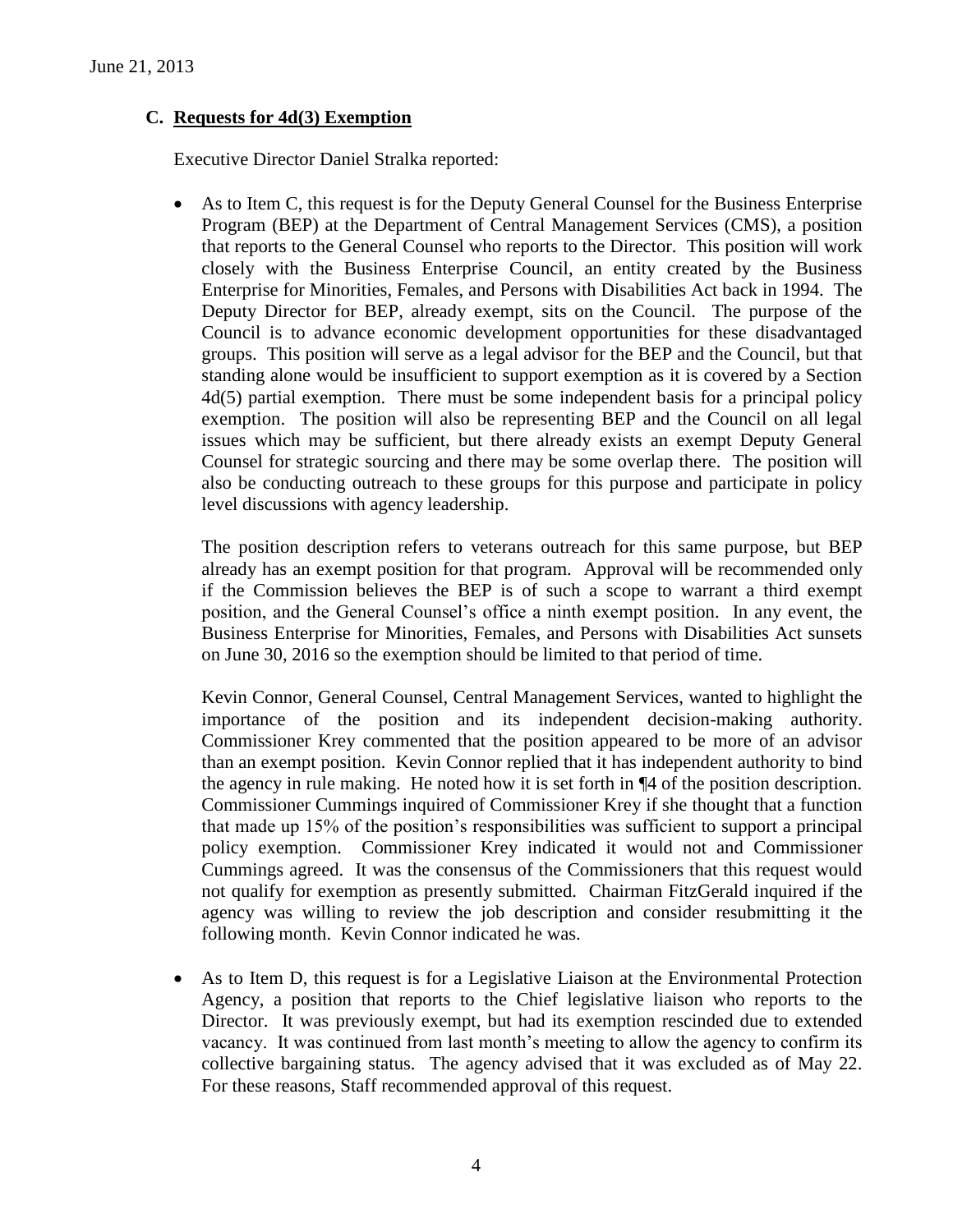### **C. Requests for 4d(3) Exemption**

Executive Director Daniel Stralka reported:

 As to Item C, this request is for the Deputy General Counsel for the Business Enterprise Program (BEP) at the Department of Central Management Services (CMS), a position that reports to the General Counsel who reports to the Director. This position will work closely with the Business Enterprise Council, an entity created by the Business Enterprise for Minorities, Females, and Persons with Disabilities Act back in 1994. The Deputy Director for BEP, already exempt, sits on the Council. The purpose of the Council is to advance economic development opportunities for these disadvantaged groups. This position will serve as a legal advisor for the BEP and the Council, but that standing alone would be insufficient to support exemption as it is covered by a Section 4d(5) partial exemption. There must be some independent basis for a principal policy exemption. The position will also be representing BEP and the Council on all legal issues which may be sufficient, but there already exists an exempt Deputy General Counsel for strategic sourcing and there may be some overlap there. The position will also be conducting outreach to these groups for this purpose and participate in policy level discussions with agency leadership.

The position description refers to veterans outreach for this same purpose, but BEP already has an exempt position for that program. Approval will be recommended only if the Commission believes the BEP is of such a scope to warrant a third exempt position, and the General Counsel's office a ninth exempt position. In any event, the Business Enterprise for Minorities, Females, and Persons with Disabilities Act sunsets on June 30, 2016 so the exemption should be limited to that period of time.

Kevin Connor, General Counsel, Central Management Services, wanted to highlight the importance of the position and its independent decision-making authority. Commissioner Krey commented that the position appeared to be more of an advisor than an exempt position. Kevin Connor replied that it has independent authority to bind the agency in rule making. He noted how it is set forth in ¶4 of the position description. Commissioner Cummings inquired of Commissioner Krey if she thought that a function that made up 15% of the position's responsibilities was sufficient to support a principal policy exemption. Commissioner Krey indicated it would not and Commissioner Cummings agreed. It was the consensus of the Commissioners that this request would not qualify for exemption as presently submitted. Chairman FitzGerald inquired if the agency was willing to review the job description and consider resubmitting it the following month. Kevin Connor indicated he was.

 As to Item D, this request is for a Legislative Liaison at the Environmental Protection Agency, a position that reports to the Chief legislative liaison who reports to the Director. It was previously exempt, but had its exemption rescinded due to extended vacancy. It was continued from last month's meeting to allow the agency to confirm its collective bargaining status. The agency advised that it was excluded as of May 22. For these reasons, Staff recommended approval of this request.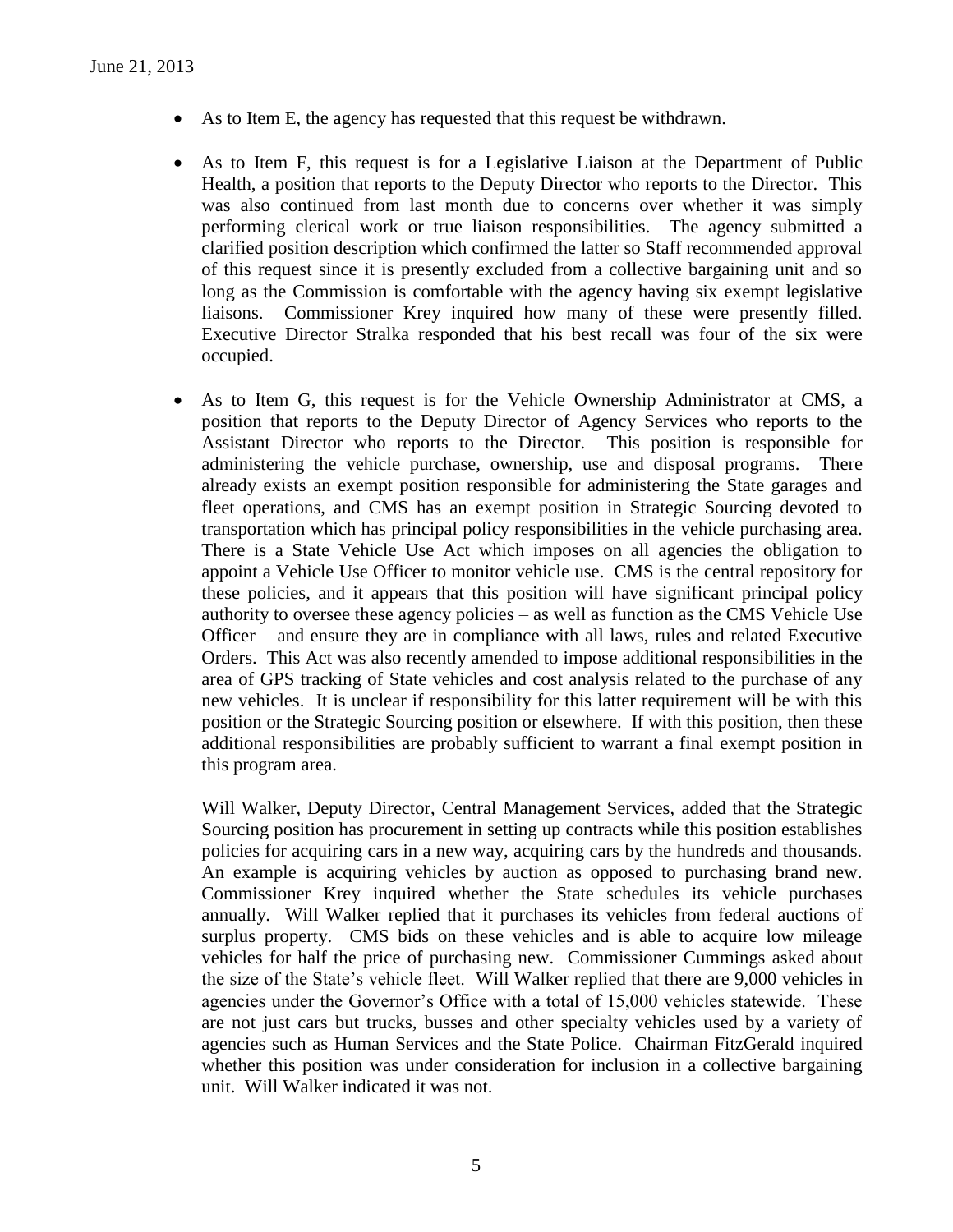- As to Item E, the agency has requested that this request be withdrawn.
- As to Item F, this request is for a Legislative Liaison at the Department of Public Health, a position that reports to the Deputy Director who reports to the Director. This was also continued from last month due to concerns over whether it was simply performing clerical work or true liaison responsibilities. The agency submitted a clarified position description which confirmed the latter so Staff recommended approval of this request since it is presently excluded from a collective bargaining unit and so long as the Commission is comfortable with the agency having six exempt legislative liaisons. Commissioner Krey inquired how many of these were presently filled. Executive Director Stralka responded that his best recall was four of the six were occupied.
- As to Item G, this request is for the Vehicle Ownership Administrator at CMS, a position that reports to the Deputy Director of Agency Services who reports to the Assistant Director who reports to the Director. This position is responsible for administering the vehicle purchase, ownership, use and disposal programs. There already exists an exempt position responsible for administering the State garages and fleet operations, and CMS has an exempt position in Strategic Sourcing devoted to transportation which has principal policy responsibilities in the vehicle purchasing area. There is a State Vehicle Use Act which imposes on all agencies the obligation to appoint a Vehicle Use Officer to monitor vehicle use. CMS is the central repository for these policies, and it appears that this position will have significant principal policy authority to oversee these agency policies – as well as function as the CMS Vehicle Use Officer – and ensure they are in compliance with all laws, rules and related Executive Orders. This Act was also recently amended to impose additional responsibilities in the area of GPS tracking of State vehicles and cost analysis related to the purchase of any new vehicles. It is unclear if responsibility for this latter requirement will be with this position or the Strategic Sourcing position or elsewhere. If with this position, then these additional responsibilities are probably sufficient to warrant a final exempt position in this program area.

Will Walker, Deputy Director, Central Management Services, added that the Strategic Sourcing position has procurement in setting up contracts while this position establishes policies for acquiring cars in a new way, acquiring cars by the hundreds and thousands. An example is acquiring vehicles by auction as opposed to purchasing brand new. Commissioner Krey inquired whether the State schedules its vehicle purchases annually. Will Walker replied that it purchases its vehicles from federal auctions of surplus property. CMS bids on these vehicles and is able to acquire low mileage vehicles for half the price of purchasing new. Commissioner Cummings asked about the size of the State's vehicle fleet. Will Walker replied that there are 9,000 vehicles in agencies under the Governor's Office with a total of 15,000 vehicles statewide. These are not just cars but trucks, busses and other specialty vehicles used by a variety of agencies such as Human Services and the State Police. Chairman FitzGerald inquired whether this position was under consideration for inclusion in a collective bargaining unit. Will Walker indicated it was not.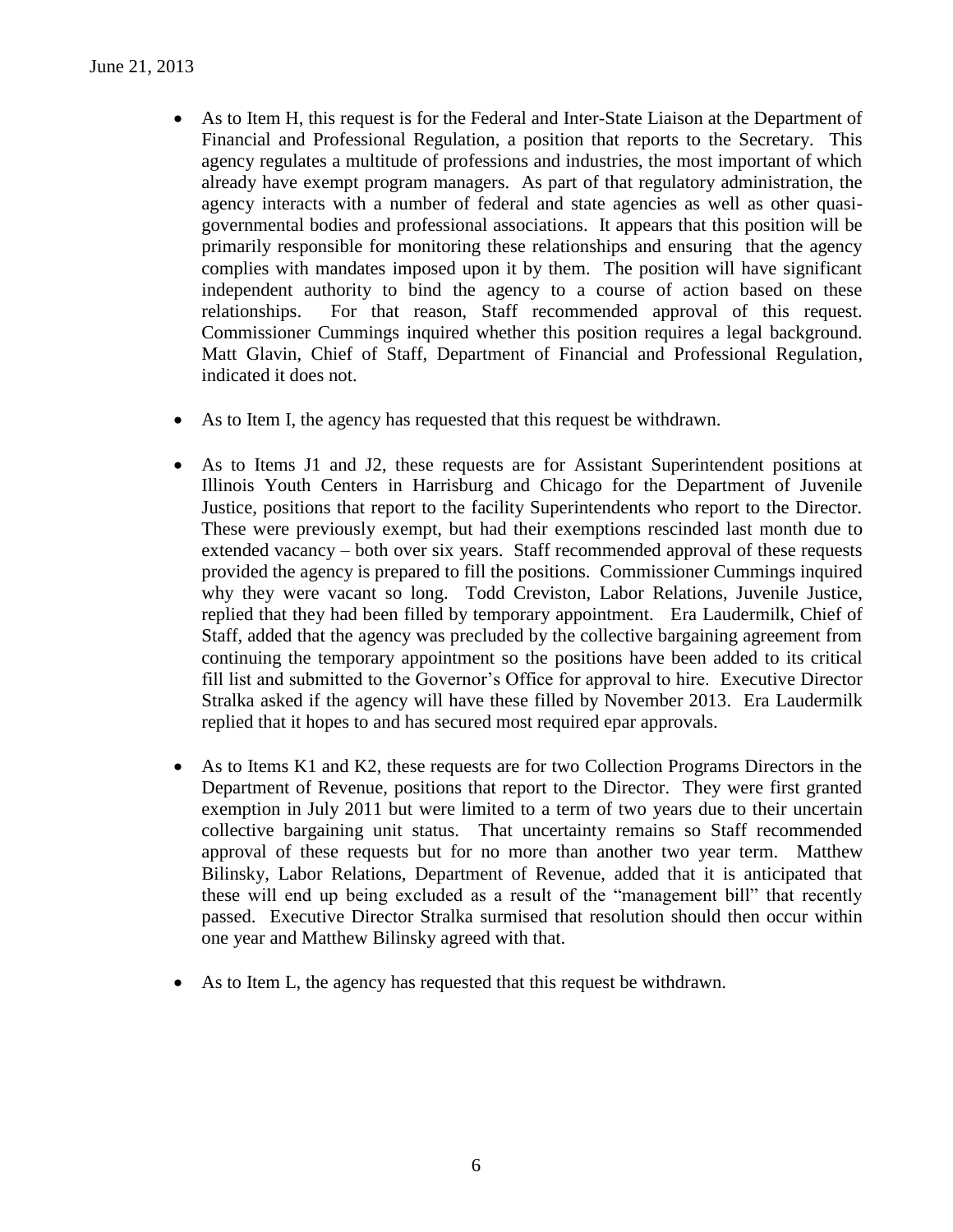- As to Item H, this request is for the Federal and Inter-State Liaison at the Department of Financial and Professional Regulation, a position that reports to the Secretary. This agency regulates a multitude of professions and industries, the most important of which already have exempt program managers. As part of that regulatory administration, the agency interacts with a number of federal and state agencies as well as other quasigovernmental bodies and professional associations. It appears that this position will be primarily responsible for monitoring these relationships and ensuring that the agency complies with mandates imposed upon it by them. The position will have significant independent authority to bind the agency to a course of action based on these relationships. For that reason, Staff recommended approval of this request. Commissioner Cummings inquired whether this position requires a legal background. Matt Glavin, Chief of Staff, Department of Financial and Professional Regulation, indicated it does not.
- As to Item I, the agency has requested that this request be withdrawn.
- As to Items J1 and J2, these requests are for Assistant Superintendent positions at Illinois Youth Centers in Harrisburg and Chicago for the Department of Juvenile Justice, positions that report to the facility Superintendents who report to the Director. These were previously exempt, but had their exemptions rescinded last month due to extended vacancy – both over six years. Staff recommended approval of these requests provided the agency is prepared to fill the positions. Commissioner Cummings inquired why they were vacant so long. Todd Creviston, Labor Relations, Juvenile Justice, replied that they had been filled by temporary appointment. Era Laudermilk, Chief of Staff, added that the agency was precluded by the collective bargaining agreement from continuing the temporary appointment so the positions have been added to its critical fill list and submitted to the Governor's Office for approval to hire. Executive Director Stralka asked if the agency will have these filled by November 2013. Era Laudermilk replied that it hopes to and has secured most required epar approvals.
- As to Items K1 and K2, these requests are for two Collection Programs Directors in the Department of Revenue, positions that report to the Director. They were first granted exemption in July 2011 but were limited to a term of two years due to their uncertain collective bargaining unit status. That uncertainty remains so Staff recommended approval of these requests but for no more than another two year term. Matthew Bilinsky, Labor Relations, Department of Revenue, added that it is anticipated that these will end up being excluded as a result of the "management bill" that recently passed. Executive Director Stralka surmised that resolution should then occur within one year and Matthew Bilinsky agreed with that.
- As to Item L, the agency has requested that this request be withdrawn.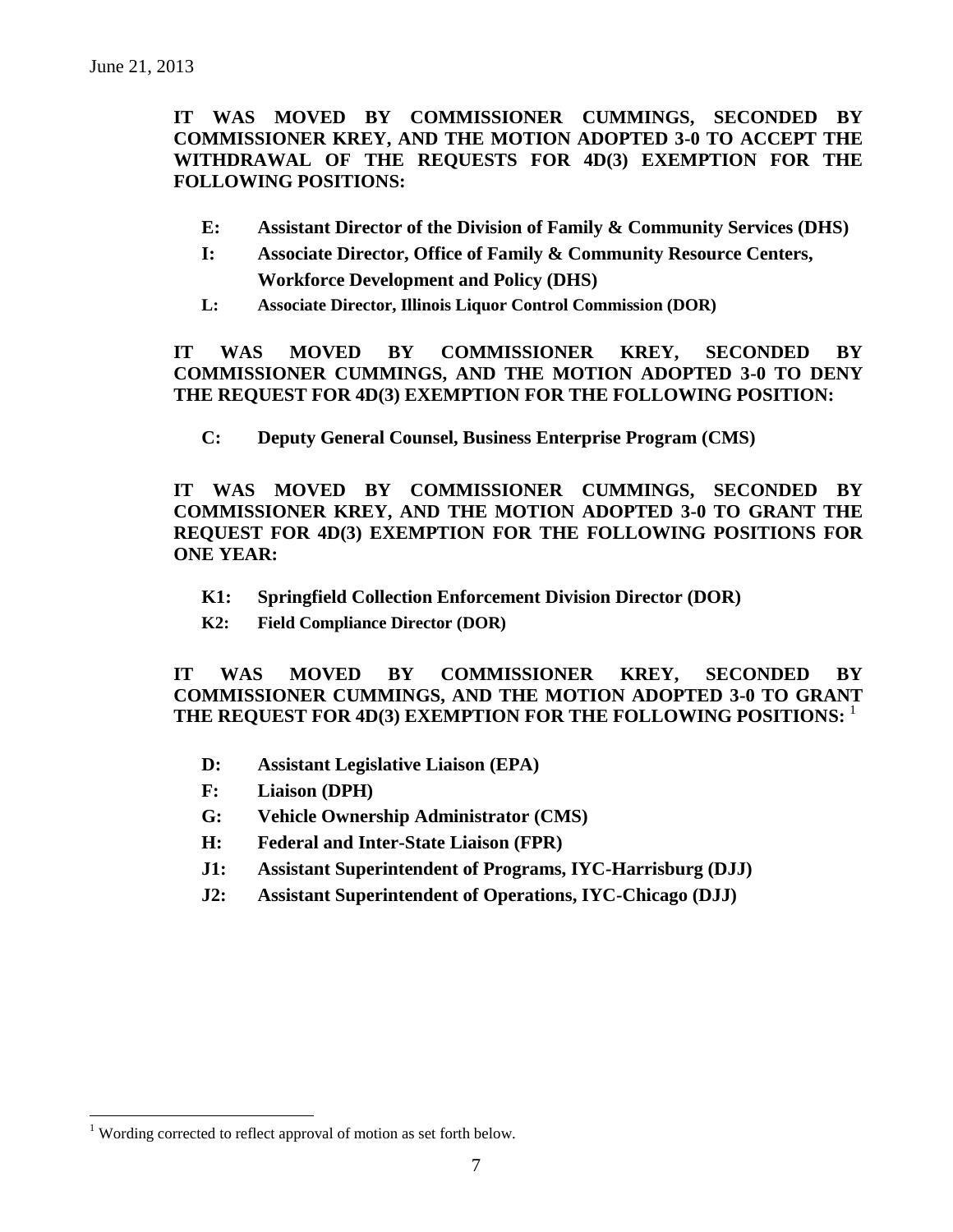**IT WAS MOVED BY COMMISSIONER CUMMINGS, SECONDED BY COMMISSIONER KREY, AND THE MOTION ADOPTED 3-0 TO ACCEPT THE WITHDRAWAL OF THE REQUESTS FOR 4D(3) EXEMPTION FOR THE FOLLOWING POSITIONS:**

- **E: Assistant Director of the Division of Family & Community Services (DHS)**
- **I: Associate Director, Office of Family & Community Resource Centers, Workforce Development and Policy (DHS)**
- **L: Associate Director, Illinois Liquor Control Commission (DOR)**

**IT WAS MOVED BY COMMISSIONER KREY, SECONDED BY COMMISSIONER CUMMINGS, AND THE MOTION ADOPTED 3-0 TO DENY THE REQUEST FOR 4D(3) EXEMPTION FOR THE FOLLOWING POSITION:**

**C: Deputy General Counsel, Business Enterprise Program (CMS)**

**IT WAS MOVED BY COMMISSIONER CUMMINGS, SECONDED BY COMMISSIONER KREY, AND THE MOTION ADOPTED 3-0 TO GRANT THE REQUEST FOR 4D(3) EXEMPTION FOR THE FOLLOWING POSITIONS FOR ONE YEAR:**

- **K1: Springfield Collection Enforcement Division Director (DOR)**
- **K2: Field Compliance Director (DOR)**

**IT WAS MOVED BY COMMISSIONER KREY, SECONDED BY COMMISSIONER CUMMINGS, AND THE MOTION ADOPTED 3-0 TO GRANT THE REQUEST FOR 4D(3) EXEMPTION FOR THE FOLLOWING POSITIONS:** 1

- **D: Assistant Legislative Liaison (EPA)**
- **F: Liaison (DPH)**
- **G: Vehicle Ownership Administrator (CMS)**
- **H: Federal and Inter-State Liaison (FPR)**
- **J1: Assistant Superintendent of Programs, IYC-Harrisburg (DJJ)**
- **J2: Assistant Superintendent of Operations, IYC-Chicago (DJJ)**

 $\overline{a}$ 

<sup>&</sup>lt;sup>1</sup> Wording corrected to reflect approval of motion as set forth below.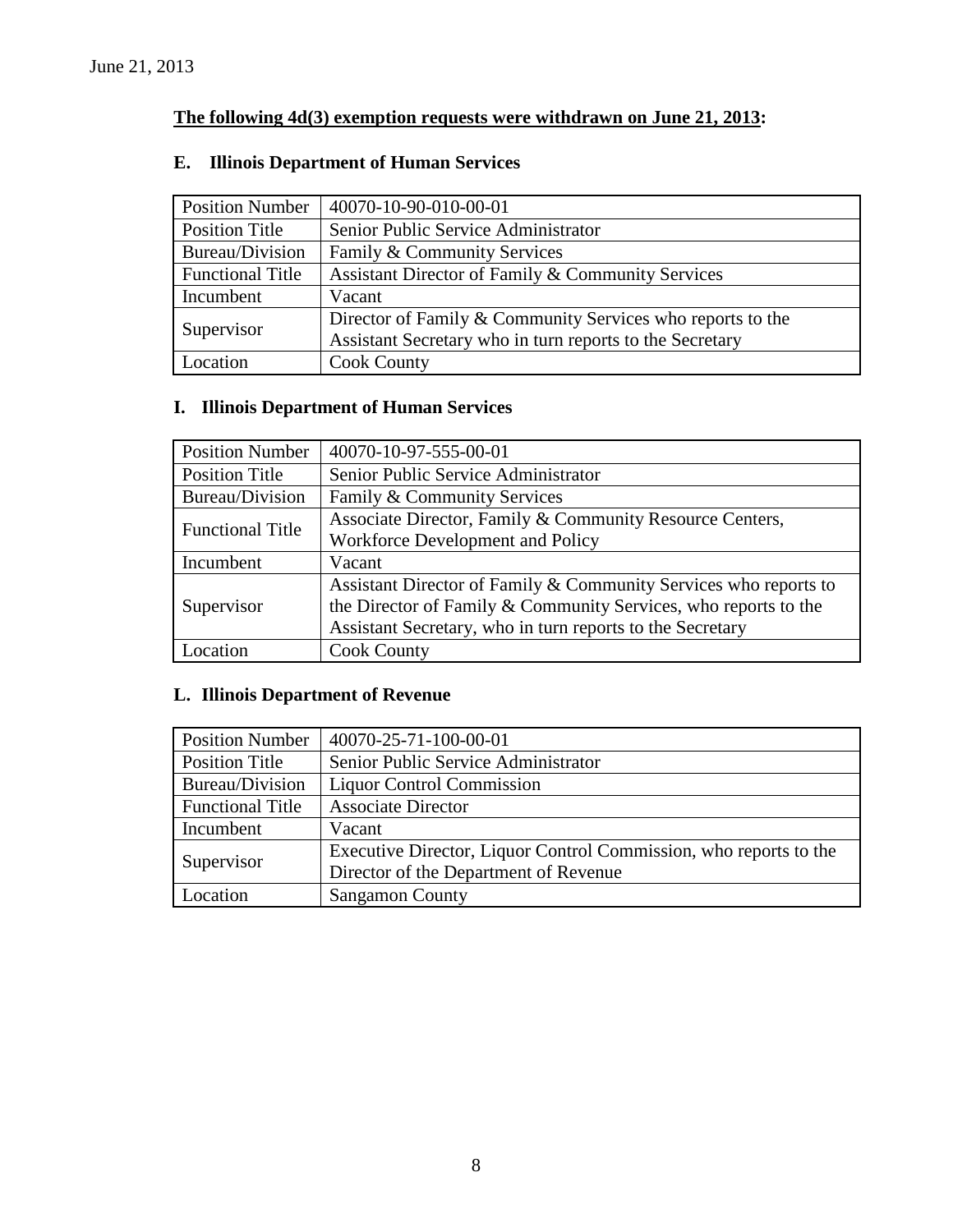# **The following 4d(3) exemption requests were withdrawn on June 21, 2013:**

| <b>Position Number</b>  | 40070-10-90-010-00-01                                      |
|-------------------------|------------------------------------------------------------|
| Position Title          | Senior Public Service Administrator                        |
| Bureau/Division         | Family & Community Services                                |
| <b>Functional Title</b> | Assistant Director of Family & Community Services          |
| Incumbent               | Vacant                                                     |
| Supervisor              | Director of Family & Community Services who reports to the |
|                         | Assistant Secretary who in turn reports to the Secretary   |
| Location                | <b>Cook County</b>                                         |

### **E. Illinois Department of Human Services**

# **I. Illinois Department of Human Services**

| <b>Position Number</b>  | 40070-10-97-555-00-01                                            |
|-------------------------|------------------------------------------------------------------|
| <b>Position Title</b>   | Senior Public Service Administrator                              |
| Bureau/Division         | Family & Community Services                                      |
| <b>Functional Title</b> | Associate Director, Family & Community Resource Centers,         |
|                         | Workforce Development and Policy                                 |
| Incumbent               | Vacant                                                           |
|                         | Assistant Director of Family & Community Services who reports to |
| Supervisor              | the Director of Family & Community Services, who reports to the  |
|                         | Assistant Secretary, who in turn reports to the Secretary        |
| Location                | <b>Cook County</b>                                               |

### **L. Illinois Department of Revenue**

| <b>Position Number</b>  | 40070-25-71-100-00-01                                             |
|-------------------------|-------------------------------------------------------------------|
| <b>Position Title</b>   | Senior Public Service Administrator                               |
| Bureau/Division         | <b>Liquor Control Commission</b>                                  |
| <b>Functional Title</b> | <b>Associate Director</b>                                         |
| Incumbent               | Vacant                                                            |
|                         | Executive Director, Liquor Control Commission, who reports to the |
| Supervisor              | Director of the Department of Revenue                             |
| Location                | <b>Sangamon County</b>                                            |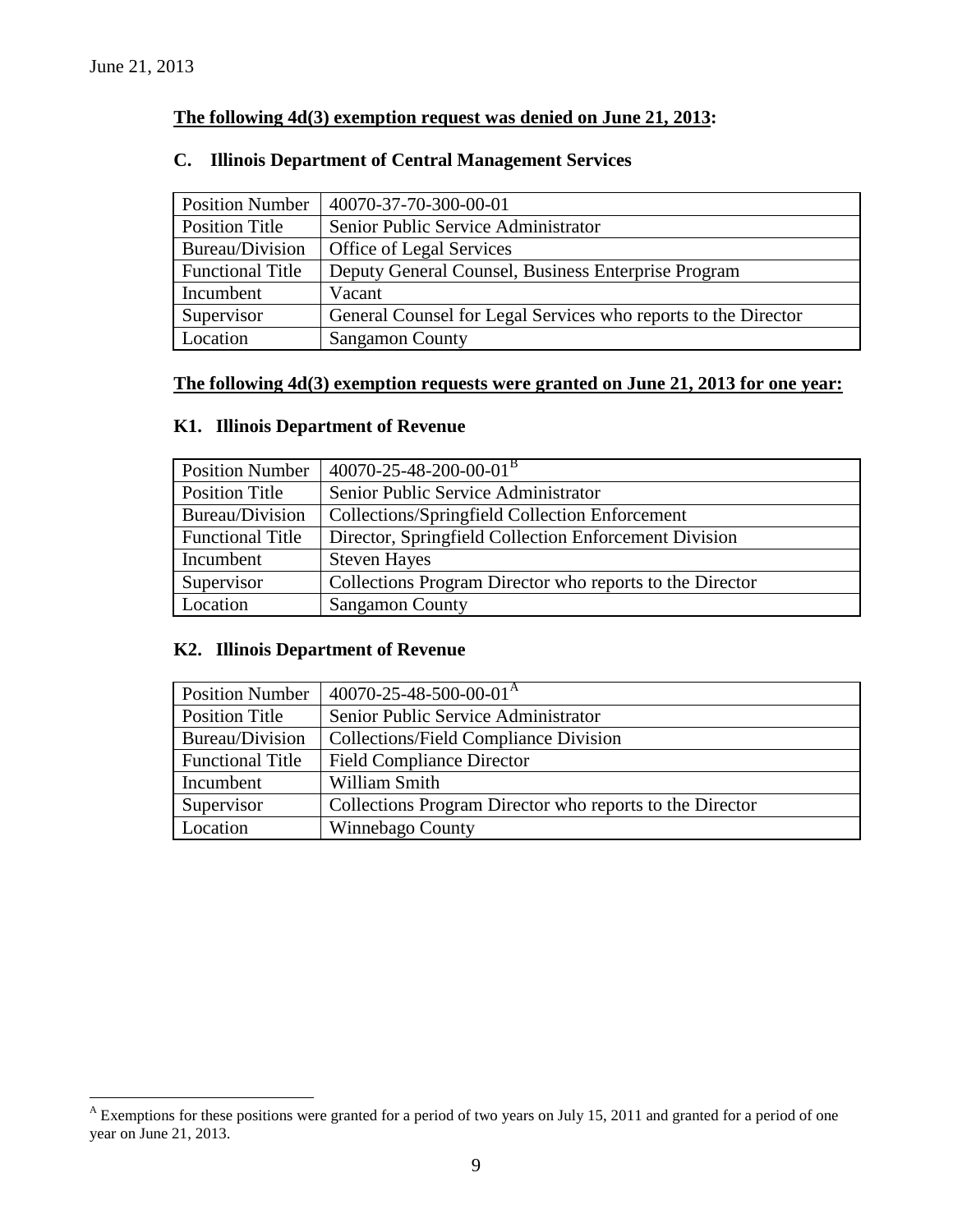$\overline{a}$ 

### **The following 4d(3) exemption request was denied on June 21, 2013:**

### **C. Illinois Department of Central Management Services**

| <b>Position Number</b>  | 40070-37-70-300-00-01                                          |
|-------------------------|----------------------------------------------------------------|
| Position Title          | Senior Public Service Administrator                            |
| Bureau/Division         | Office of Legal Services                                       |
| <b>Functional Title</b> | Deputy General Counsel, Business Enterprise Program            |
| Incumbent               | Vacant                                                         |
| Supervisor              | General Counsel for Legal Services who reports to the Director |
| Location                | <b>Sangamon County</b>                                         |

#### **The following 4d(3) exemption requests were granted on June 21, 2013 for one year:**

### **K1. Illinois Department of Revenue**

| <b>Position Number</b>  | $40070 - 25 - 48 - 200 - 00 - 01^B$                      |
|-------------------------|----------------------------------------------------------|
| <b>Position Title</b>   | Senior Public Service Administrator                      |
| Bureau/Division         | Collections/Springfield Collection Enforcement           |
| <b>Functional Title</b> | Director, Springfield Collection Enforcement Division    |
| Incumbent               | <b>Steven Hayes</b>                                      |
| Supervisor              | Collections Program Director who reports to the Director |
| Location                | <b>Sangamon County</b>                                   |

### **K2. Illinois Department of Revenue**

| <b>Position Number</b>  | $40070 - 25 - 48 - 500 - 00 - 01A$                       |
|-------------------------|----------------------------------------------------------|
| <b>Position Title</b>   | Senior Public Service Administrator                      |
| Bureau/Division         | <b>Collections/Field Compliance Division</b>             |
| <b>Functional Title</b> | <b>Field Compliance Director</b>                         |
| Incumbent               | William Smith                                            |
| Supervisor              | Collections Program Director who reports to the Director |
| Location                | Winnebago County                                         |

<sup>&</sup>lt;sup>A</sup> Exemptions for these positions were granted for a period of two years on July 15, 2011 and granted for a period of one year on June 21, 2013.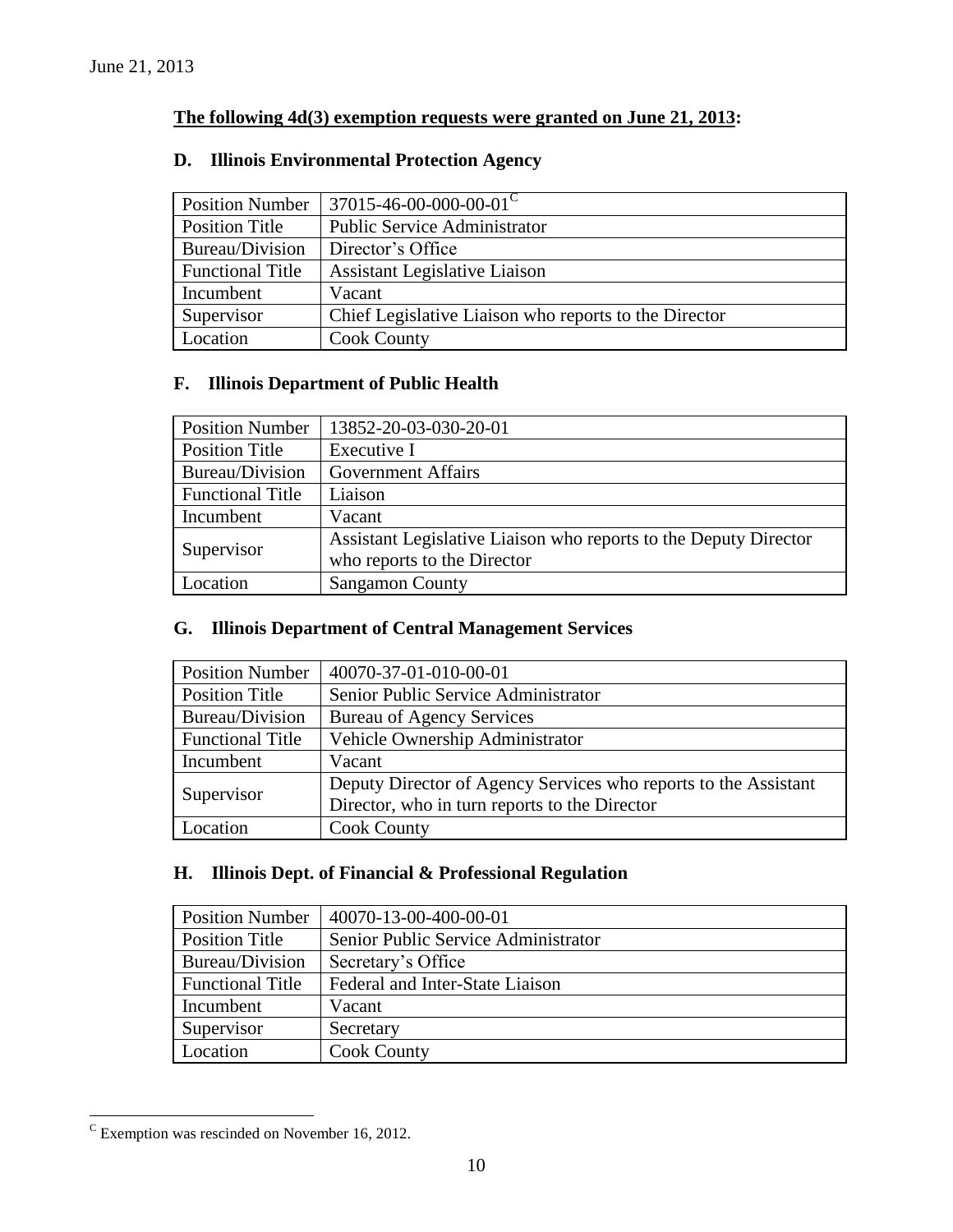### **The following 4d(3) exemption requests were granted on June 21, 2013:**

## Position Number 37015-46-00-000-00-01<sup>C</sup> Position Title Public Service Administrator Bureau/Division Director's Office Functional Title | Assistant Legislative Liaison Incumbent Vacant Supervisor | Chief Legislative Liaison who reports to the Director Location Cook County

### **D. Illinois Environmental Protection Agency**

### **F. Illinois Department of Public Health**

| <b>Position Number</b>  | 13852-20-03-030-20-01                                                                           |
|-------------------------|-------------------------------------------------------------------------------------------------|
| <b>Position Title</b>   | Executive I                                                                                     |
| Bureau/Division         | <b>Government Affairs</b>                                                                       |
| <b>Functional Title</b> | Liaison                                                                                         |
| Incumbent               | Vacant                                                                                          |
| Supervisor              | Assistant Legislative Liaison who reports to the Deputy Director<br>who reports to the Director |
| Location                | <b>Sangamon County</b>                                                                          |

#### **G. Illinois Department of Central Management Services**

| <b>Position Number</b>  | 40070-37-01-010-00-01                                           |
|-------------------------|-----------------------------------------------------------------|
| <b>Position Title</b>   | Senior Public Service Administrator                             |
| Bureau/Division         | <b>Bureau of Agency Services</b>                                |
| <b>Functional Title</b> | Vehicle Ownership Administrator                                 |
| Incumbent               | Vacant                                                          |
| Supervisor              | Deputy Director of Agency Services who reports to the Assistant |
|                         | Director, who in turn reports to the Director                   |
| Location                | <b>Cook County</b>                                              |

## **H. Illinois Dept. of Financial & Professional Regulation**

| <b>Position Number</b>  | 40070-13-00-400-00-01               |
|-------------------------|-------------------------------------|
| Position Title          | Senior Public Service Administrator |
| Bureau/Division         | Secretary's Office                  |
| <b>Functional Title</b> | Federal and Inter-State Liaison     |
| Incumbent               | Vacant                              |
| Supervisor              | Secretary                           |
| Location                | <b>Cook County</b>                  |

 $\rm{c}$  Exemption was rescinded on November 16, 2012.

 $\overline{a}$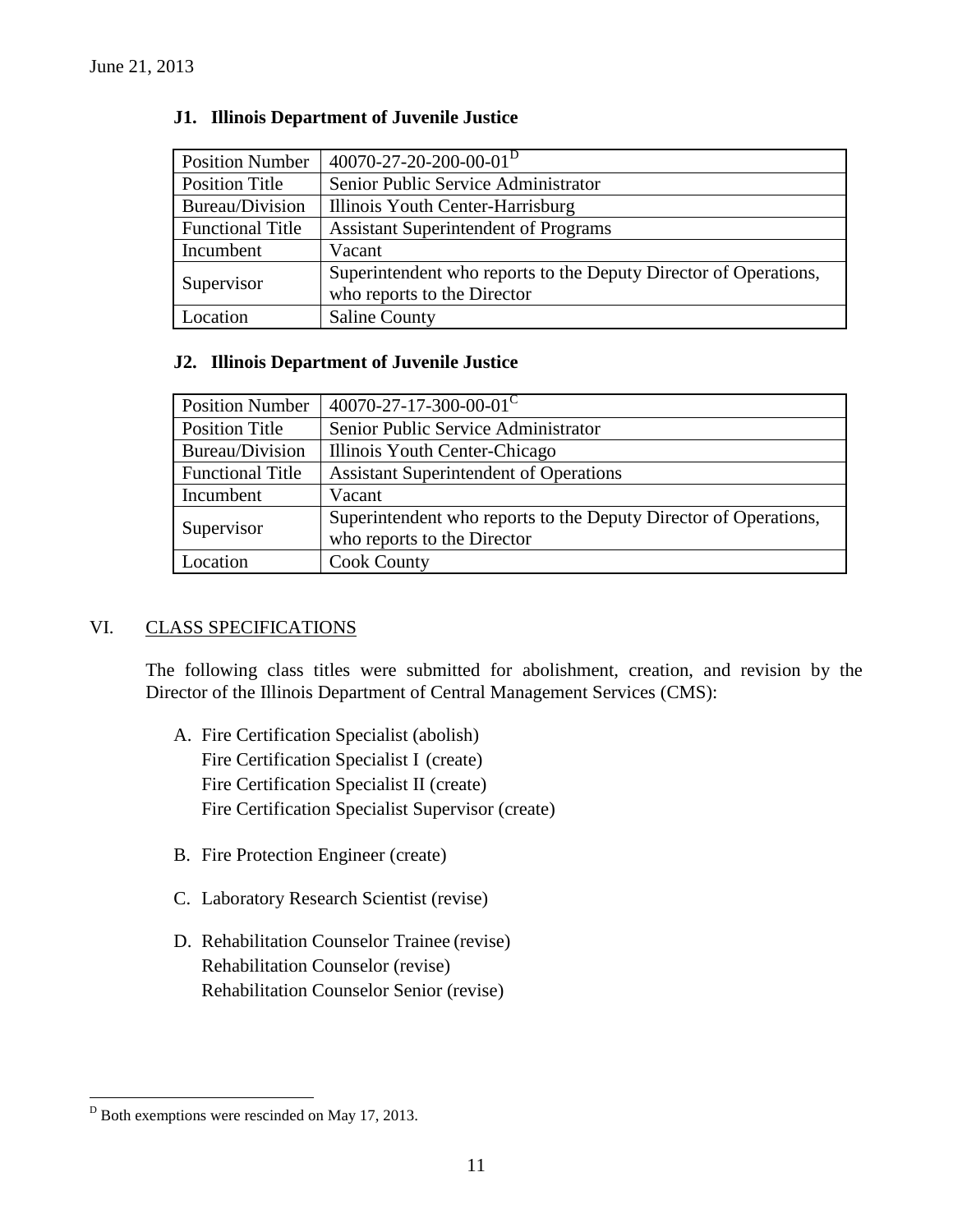| <b>Position Number</b>  | 40070-27-20-200-00-01 <sup>D</sup>                               |
|-------------------------|------------------------------------------------------------------|
| Position Title          | Senior Public Service Administrator                              |
| Bureau/Division         | Illinois Youth Center-Harrisburg                                 |
| <b>Functional Title</b> | <b>Assistant Superintendent of Programs</b>                      |
| Incumbent               | Vacant                                                           |
| Supervisor              | Superintendent who reports to the Deputy Director of Operations, |
|                         | who reports to the Director                                      |
| Location                | <b>Saline County</b>                                             |

### **J1. Illinois Department of Juvenile Justice**

### **J2. Illinois Department of Juvenile Justice**

| <b>Position Number</b>  | $40070 - 27 - 17 - 300 - 00 - 01$ <sup>C</sup>                                                  |
|-------------------------|-------------------------------------------------------------------------------------------------|
| Position Title          | Senior Public Service Administrator                                                             |
| Bureau/Division         | Illinois Youth Center-Chicago                                                                   |
| <b>Functional Title</b> | <b>Assistant Superintendent of Operations</b>                                                   |
| Incumbent               | Vacant                                                                                          |
| Supervisor              | Superintendent who reports to the Deputy Director of Operations,<br>who reports to the Director |
| Location                | <b>Cook County</b>                                                                              |

### VI. CLASS SPECIFICATIONS

The following class titles were submitted for abolishment, creation, and revision by the Director of the Illinois Department of Central Management Services (CMS):

- A. Fire Certification Specialist (abolish) Fire Certification Specialist I (create) Fire Certification Specialist II (create) Fire Certification Specialist Supervisor (create)
- B. Fire Protection Engineer (create)
- C. Laboratory Research Scientist (revise)
- D. Rehabilitation Counselor Trainee (revise) Rehabilitation Counselor (revise) Rehabilitation Counselor Senior (revise)

 $\overline{a}$ 

 $D<sup>D</sup>$  Both exemptions were rescinded on May 17, 2013.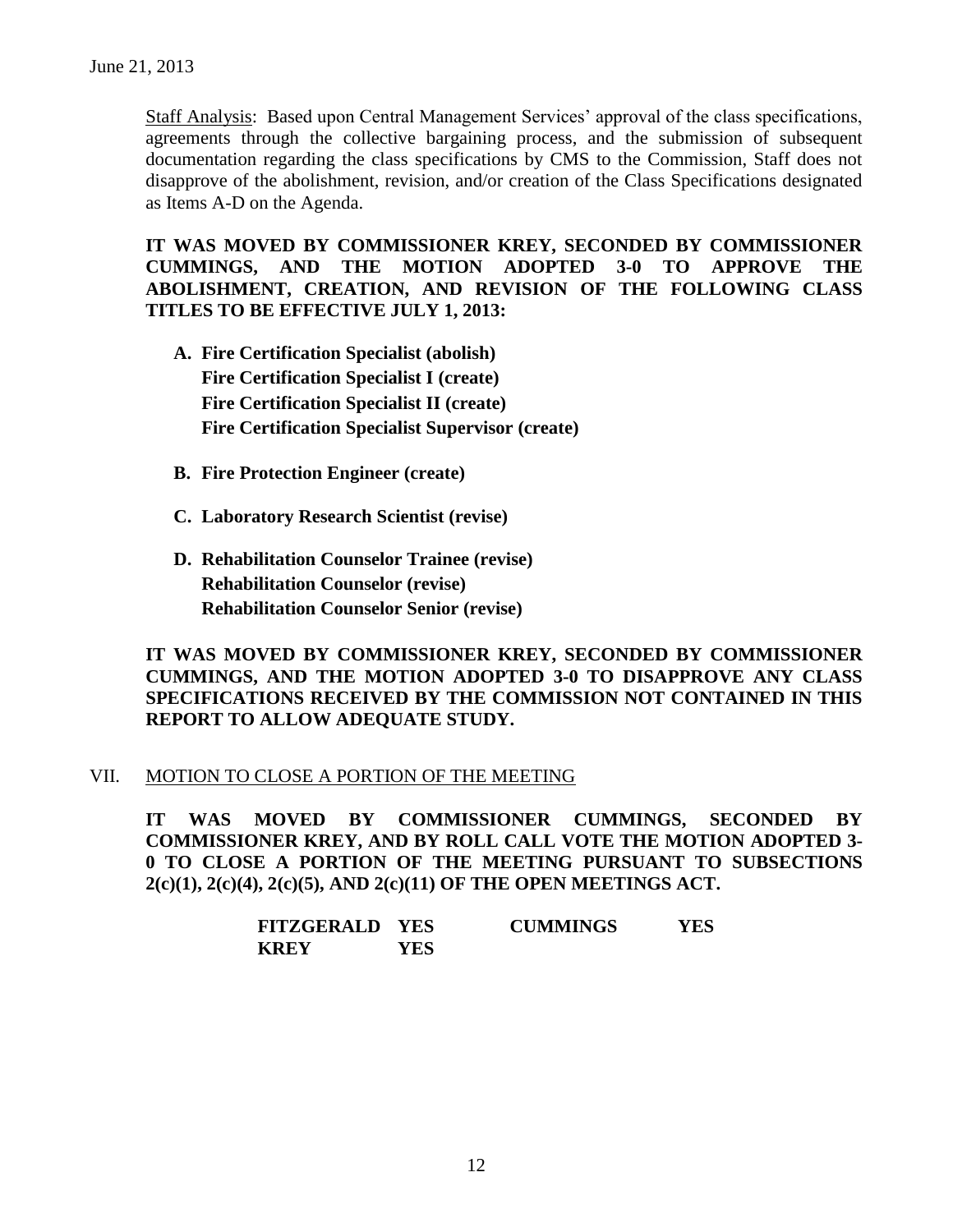Staff Analysis: Based upon Central Management Services' approval of the class specifications, agreements through the collective bargaining process, and the submission of subsequent documentation regarding the class specifications by CMS to the Commission, Staff does not disapprove of the abolishment, revision, and/or creation of the Class Specifications designated as Items A-D on the Agenda.

**IT WAS MOVED BY COMMISSIONER KREY, SECONDED BY COMMISSIONER CUMMINGS, AND THE MOTION ADOPTED 3-0 TO APPROVE THE ABOLISHMENT, CREATION, AND REVISION OF THE FOLLOWING CLASS TITLES TO BE EFFECTIVE JULY 1, 2013:**

- **A. Fire Certification Specialist (abolish) Fire Certification Specialist I (create) Fire Certification Specialist II (create) Fire Certification Specialist Supervisor (create)**
- **B. Fire Protection Engineer (create)**
- **C. Laboratory Research Scientist (revise)**
- **D. Rehabilitation Counselor Trainee (revise) Rehabilitation Counselor (revise) Rehabilitation Counselor Senior (revise)**

**IT WAS MOVED BY COMMISSIONER KREY, SECONDED BY COMMISSIONER CUMMINGS, AND THE MOTION ADOPTED 3-0 TO DISAPPROVE ANY CLASS SPECIFICATIONS RECEIVED BY THE COMMISSION NOT CONTAINED IN THIS REPORT TO ALLOW ADEQUATE STUDY.** 

#### VII. MOTION TO CLOSE A PORTION OF THE MEETING

**IT WAS MOVED BY COMMISSIONER CUMMINGS, SECONDED BY COMMISSIONER KREY, AND BY ROLL CALL VOTE THE MOTION ADOPTED 3- 0 TO CLOSE A PORTION OF THE MEETING PURSUANT TO SUBSECTIONS 2(c)(1), 2(c)(4), 2(c)(5), AND 2(c)(11) OF THE OPEN MEETINGS ACT.**

| <b>FITZGERALD</b> | <b>YES</b> | <b>CUMMINGS</b> | YES |
|-------------------|------------|-----------------|-----|
| <b>KREY</b>       | YES        |                 |     |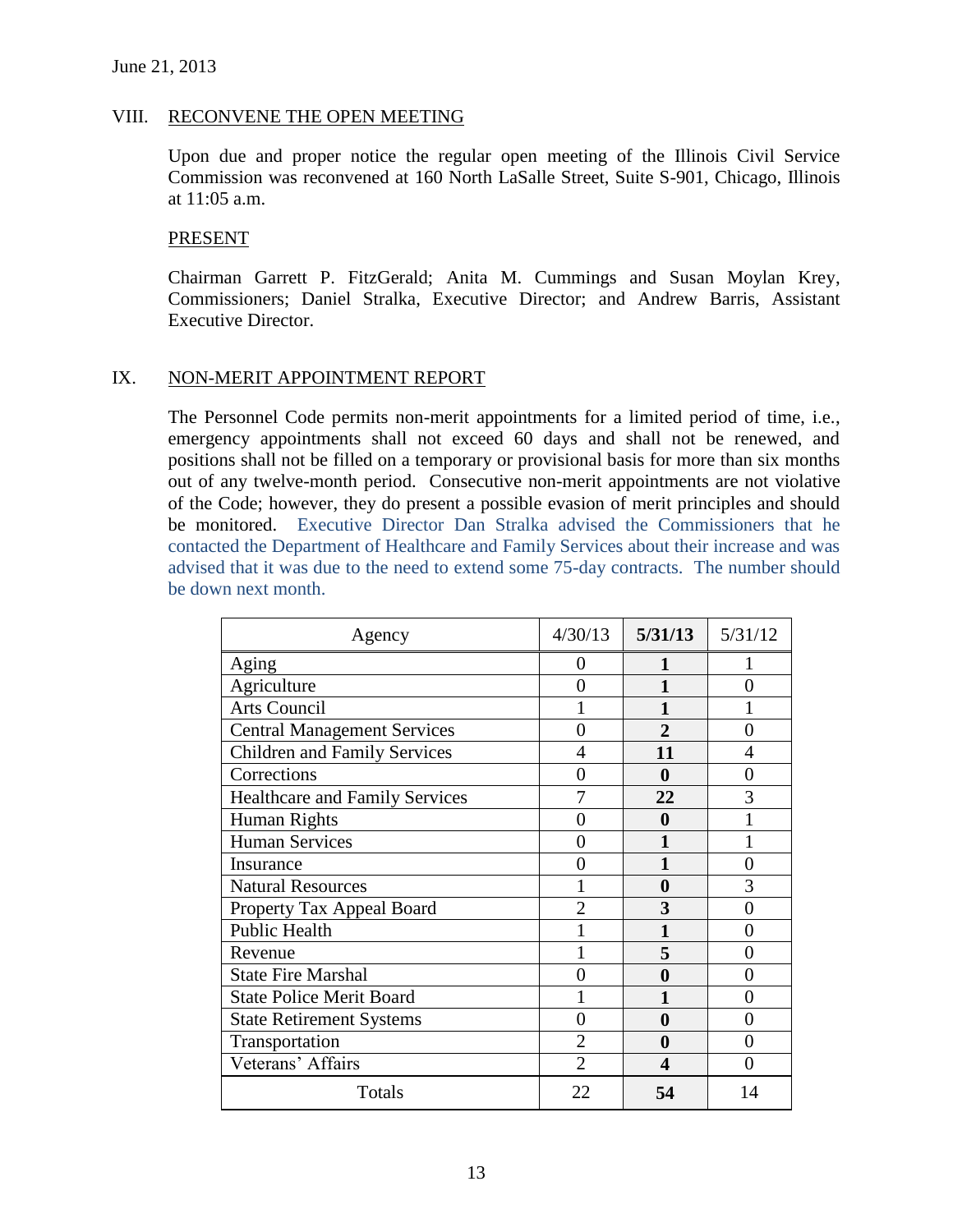#### VIII. RECONVENE THE OPEN MEETING

Upon due and proper notice the regular open meeting of the Illinois Civil Service Commission was reconvened at 160 North LaSalle Street, Suite S-901, Chicago, Illinois at 11:05 a.m.

#### PRESENT

Chairman Garrett P. FitzGerald; Anita M. Cummings and Susan Moylan Krey, Commissioners; Daniel Stralka, Executive Director; and Andrew Barris, Assistant Executive Director.

### IX. NON-MERIT APPOINTMENT REPORT

The Personnel Code permits non-merit appointments for a limited period of time, i.e., emergency appointments shall not exceed 60 days and shall not be renewed, and positions shall not be filled on a temporary or provisional basis for more than six months out of any twelve-month period. Consecutive non-merit appointments are not violative of the Code; however, they do present a possible evasion of merit principles and should be monitored. Executive Director Dan Stralka advised the Commissioners that he contacted the Department of Healthcare and Family Services about their increase and was advised that it was due to the need to extend some 75-day contracts. The number should be down next month.

| Agency                                | 4/30/13        | 5/31/13               | 5/31/12           |
|---------------------------------------|----------------|-----------------------|-------------------|
| Aging                                 | 0              |                       |                   |
| Agriculture                           | 0              | 1                     | 0                 |
| <b>Arts Council</b>                   |                |                       |                   |
| <b>Central Management Services</b>    |                | $\overline{2}$        | 0                 |
| <b>Children and Family Services</b>   | 4              | 11                    | 4                 |
| Corrections                           | 0              | 0                     | 0                 |
| <b>Healthcare and Family Services</b> |                | 22                    | 3                 |
| <b>Human Rights</b>                   |                | 0                     |                   |
| <b>Human Services</b>                 | 0              |                       |                   |
| Insurance                             | 0              |                       | 0                 |
| <b>Natural Resources</b>              |                | 0                     | 3                 |
| Property Tax Appeal Board             | $\mathfrak{D}$ | 3                     | 0                 |
| <b>Public Health</b>                  |                |                       | 0                 |
| Revenue                               |                | 5                     | 0                 |
| <b>State Fire Marshal</b>             | 0              | 0                     | $\mathbf{\Omega}$ |
| <b>State Police Merit Board</b>       |                |                       | 0                 |
| <b>State Retirement Systems</b>       | 0              | 0                     | 0                 |
| Transportation                        | $\overline{2}$ | 0                     | 0                 |
| Veterans' Affairs                     | $\overline{2}$ | $\boldsymbol{\Delta}$ | 0                 |
| Totals                                | 22             | 54                    | 14                |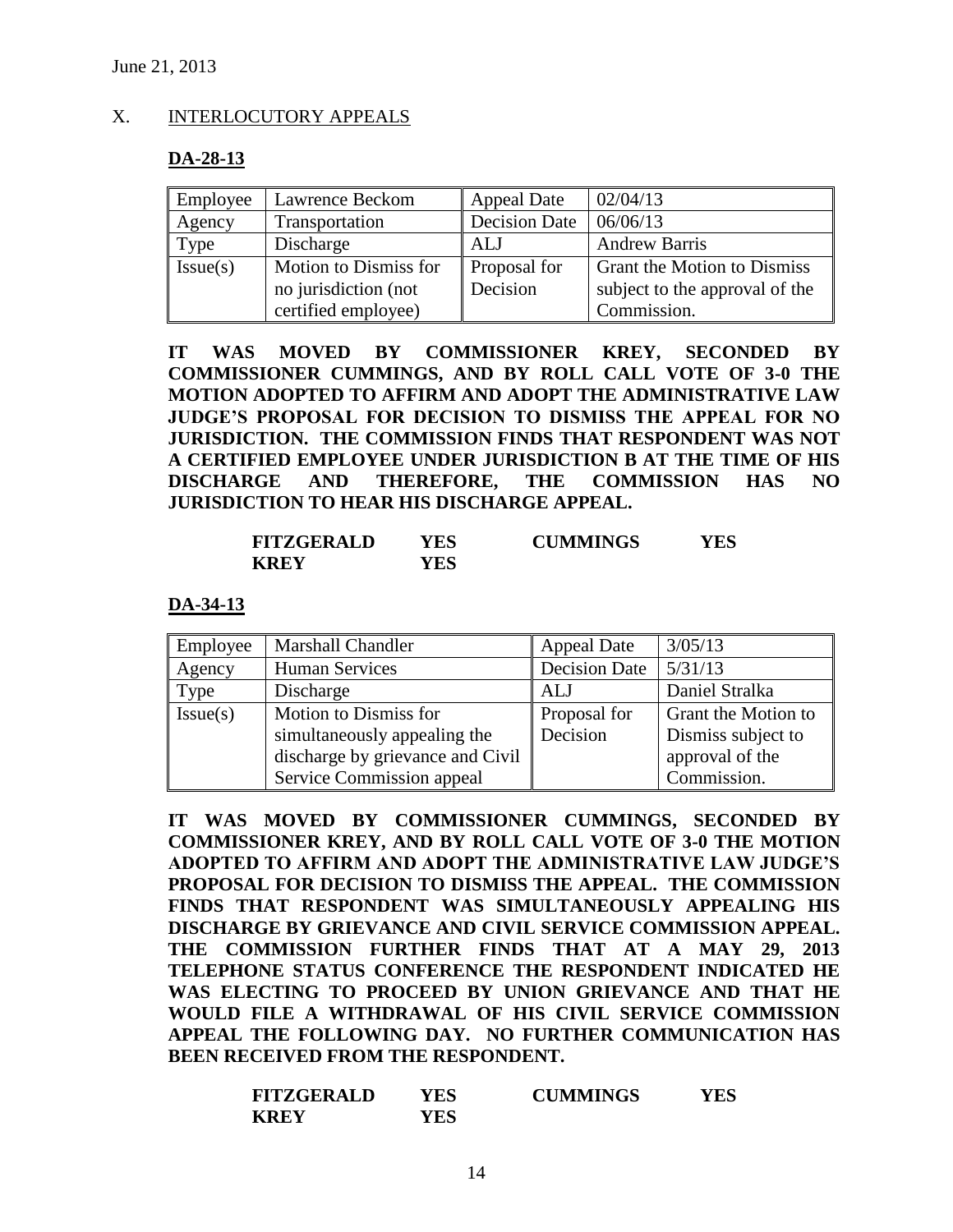### X. INTERLOCUTORY APPEALS

#### **DA-28-13**

| Employee | Lawrence Beckom       | <b>Appeal Date</b>   | 02/04/13                           |
|----------|-----------------------|----------------------|------------------------------------|
| Agency   | Transportation        | <b>Decision Date</b> | 06/06/13                           |
| Type     | Discharge             | ALJ                  | <b>Andrew Barris</b>               |
| Issue(s) | Motion to Dismiss for | Proposal for         | <b>Grant the Motion to Dismiss</b> |
|          | no jurisdiction (not  | Decision             | subject to the approval of the     |
|          | certified employee)   |                      | Commission.                        |

**IT WAS MOVED BY COMMISSIONER KREY, SECONDED BY COMMISSIONER CUMMINGS, AND BY ROLL CALL VOTE OF 3-0 THE MOTION ADOPTED TO AFFIRM AND ADOPT THE ADMINISTRATIVE LAW JUDGE'S PROPOSAL FOR DECISION TO DISMISS THE APPEAL FOR NO JURISDICTION. THE COMMISSION FINDS THAT RESPONDENT WAS NOT A CERTIFIED EMPLOYEE UNDER JURISDICTION B AT THE TIME OF HIS DISCHARGE AND THEREFORE, THE COMMISSION HAS NO JURISDICTION TO HEAR HIS DISCHARGE APPEAL.** 

| <b>FITZGERALD</b> | YES | <b>CUMMINGS</b> | YES |
|-------------------|-----|-----------------|-----|
| <b>KREY</b>       | YES |                 |     |

#### **DA-34-13**

| Employee | Marshall Chandler                | <b>Appeal Date</b>   | 3/05/13             |
|----------|----------------------------------|----------------------|---------------------|
| Agency   | <b>Human Services</b>            | <b>Decision Date</b> | 5/31/13             |
| Type     | Discharge                        | ALJ                  | Daniel Stralka      |
| Issue(s) | Motion to Dismiss for            | Proposal for         | Grant the Motion to |
|          | simultaneously appealing the     | Decision             | Dismiss subject to  |
|          | discharge by grievance and Civil |                      | approval of the     |
|          | Service Commission appeal        |                      | Commission.         |

**IT WAS MOVED BY COMMISSIONER CUMMINGS, SECONDED BY COMMISSIONER KREY, AND BY ROLL CALL VOTE OF 3-0 THE MOTION ADOPTED TO AFFIRM AND ADOPT THE ADMINISTRATIVE LAW JUDGE'S PROPOSAL FOR DECISION TO DISMISS THE APPEAL. THE COMMISSION FINDS THAT RESPONDENT WAS SIMULTANEOUSLY APPEALING HIS DISCHARGE BY GRIEVANCE AND CIVIL SERVICE COMMISSION APPEAL. THE COMMISSION FURTHER FINDS THAT AT A MAY 29, 2013 TELEPHONE STATUS CONFERENCE THE RESPONDENT INDICATED HE WAS ELECTING TO PROCEED BY UNION GRIEVANCE AND THAT HE WOULD FILE A WITHDRAWAL OF HIS CIVIL SERVICE COMMISSION APPEAL THE FOLLOWING DAY. NO FURTHER COMMUNICATION HAS BEEN RECEIVED FROM THE RESPONDENT.**

| <b>FITZGERALD</b> | YES        | <b>CUMMINGS</b> | YES |
|-------------------|------------|-----------------|-----|
| <b>KREY</b>       | <b>YES</b> |                 |     |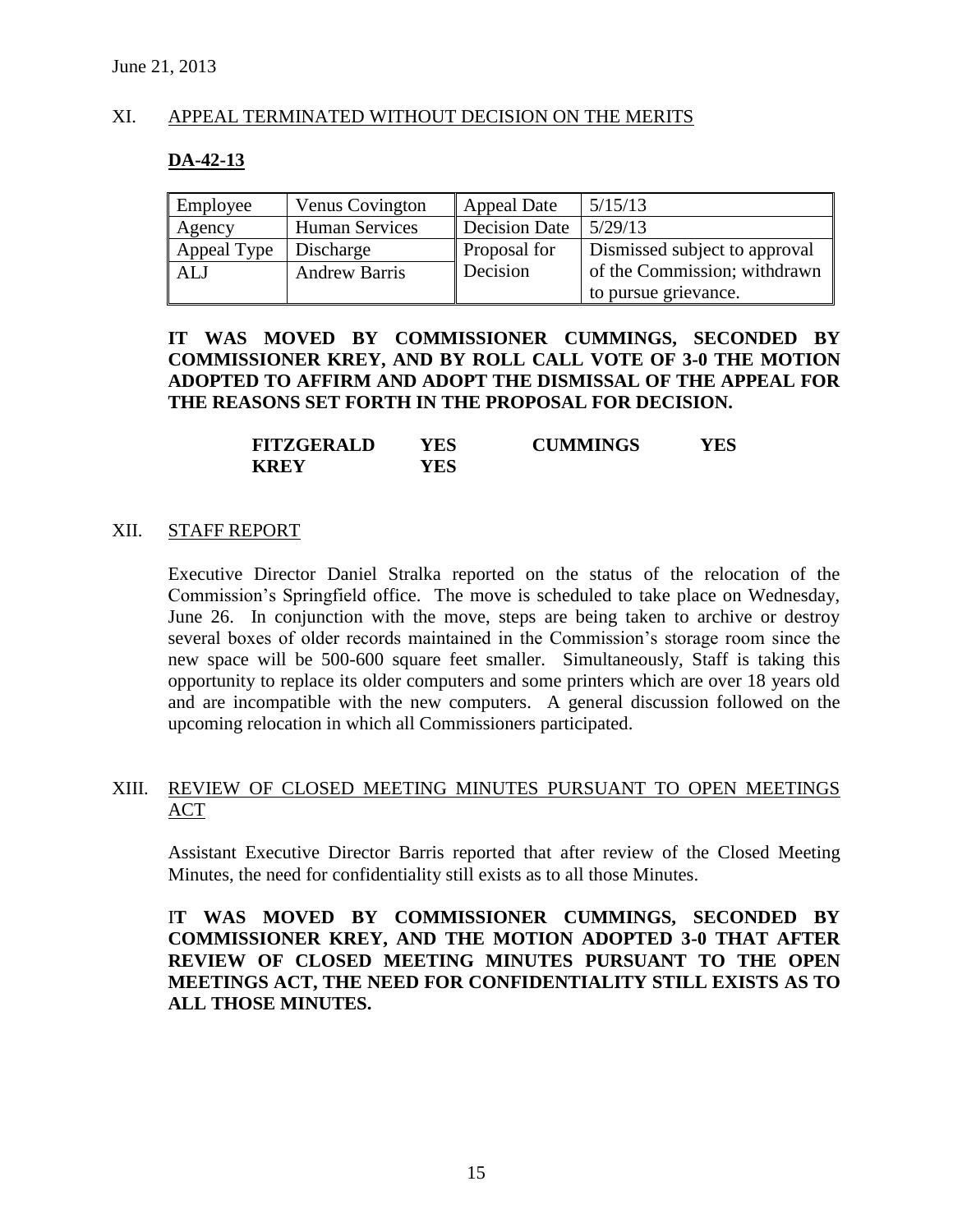### XI. APPEAL TERMINATED WITHOUT DECISION ON THE MERITS

#### **DA-42-13**

| Employee    | Venus Covington       | <b>Appeal Date</b> | 5/15/13                       |
|-------------|-----------------------|--------------------|-------------------------------|
| Agency      | <b>Human Services</b> | Decision Date      | 5/29/13                       |
| Appeal Type | Discharge             | Proposal for       | Dismissed subject to approval |
| <b>ALJ</b>  | <b>Andrew Barris</b>  | Decision           | of the Commission; withdrawn  |
|             |                       |                    | to pursue grievance.          |

### **IT WAS MOVED BY COMMISSIONER CUMMINGS, SECONDED BY COMMISSIONER KREY, AND BY ROLL CALL VOTE OF 3-0 THE MOTION ADOPTED TO AFFIRM AND ADOPT THE DISMISSAL OF THE APPEAL FOR THE REASONS SET FORTH IN THE PROPOSAL FOR DECISION.**

| <b>FITZGERALD</b> | YES | <b>CUMMINGS</b> | YES |
|-------------------|-----|-----------------|-----|
| <b>KREY</b>       | YES |                 |     |

#### XII. STAFF REPORT

Executive Director Daniel Stralka reported on the status of the relocation of the Commission's Springfield office. The move is scheduled to take place on Wednesday, June 26. In conjunction with the move, steps are being taken to archive or destroy several boxes of older records maintained in the Commission's storage room since the new space will be 500-600 square feet smaller. Simultaneously, Staff is taking this opportunity to replace its older computers and some printers which are over 18 years old and are incompatible with the new computers. A general discussion followed on the upcoming relocation in which all Commissioners participated.

### XIII. REVIEW OF CLOSED MEETING MINUTES PURSUANT TO OPEN MEETINGS ACT

Assistant Executive Director Barris reported that after review of the Closed Meeting Minutes, the need for confidentiality still exists as to all those Minutes.

I**T WAS MOVED BY COMMISSIONER CUMMINGS, SECONDED BY COMMISSIONER KREY, AND THE MOTION ADOPTED 3-0 THAT AFTER REVIEW OF CLOSED MEETING MINUTES PURSUANT TO THE OPEN MEETINGS ACT, THE NEED FOR CONFIDENTIALITY STILL EXISTS AS TO ALL THOSE MINUTES.**